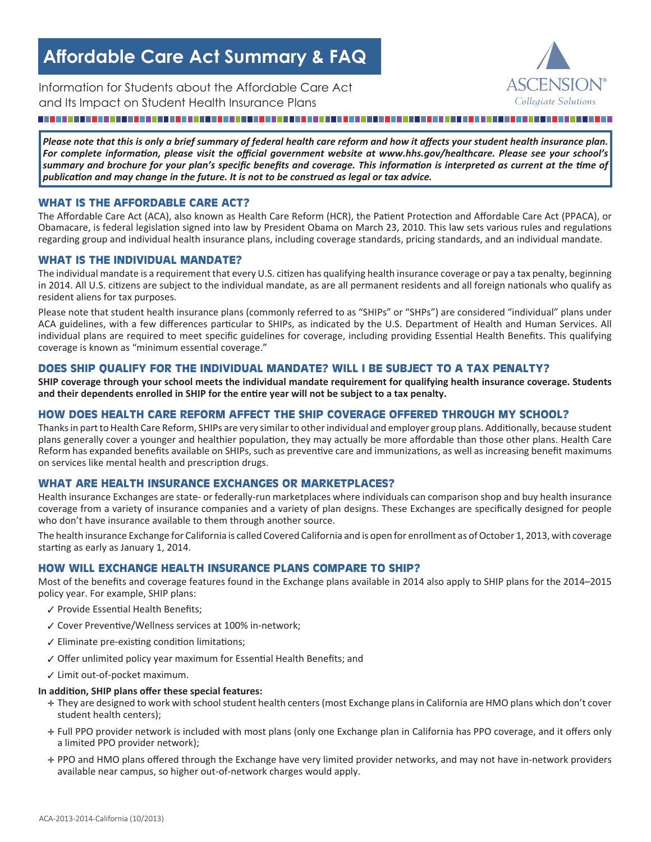# **Affordable Care Act Summary & FAQ**

Information for Students about the Affordable Care Act and Its Impact on Student Health Insurance Plans *Collegiate Solutions*

#### . . . . . . . . . . . . . .

*Please note that this is only a brief summary of federal health care reform and how it affects your student health insurance plan. For complete information, please visit the official government website at www.hhs.gov/healthcare. Please see your school's summary and brochure for your plan's specific benefits and coverage. This information is interpreted as current at the time of publication and may change in the future. It is not to be construed as legal or tax advice.*

#### **WHAT IS THE AFFORDABLE CARE ACT?**

The Affordable Care Act (ACA), also known as Health Care Reform (HCR), the Patient Protection and Affordable Care Act (PPACA), or Obamacare, is federal legislation signed into law by President Obama on March 23, 2010. This law sets various rules and regulations regarding group and individual health insurance plans, including coverage standards, pricing standards, and an individual mandate.

#### **WHAT IS THE INDIVIDUAL MANDATE?**

The individual mandate is a requirement that every U.S. citizen has qualifying health insurance coverage or pay a tax penalty, beginning in 2014. All U.S. citizens are subject to the individual mandate, as are all permanent residents and all foreign nationals who qualify as resident aliens for tax purposes.

Please note that student health insurance plans (commonly referred to as "SHIPs" or "SHPs") are considered "individual" plans under ACA guidelines, with a few differences particular to SHIPs, as indicated by the U.S. Department of Health and Human Services. All individual plans are required to meet specific guidelines for coverage, including providing Essential Health Benefits. This qualifying coverage is known as "minimum essential coverage."

#### **DOES SHIP QUALIFY FOR THE INDIVIDUAL MANDATE? WILL I BE SUBJECT TO A TAX PENALTY?**

**SHIP coverage through your school meets the individual mandate requirement for qualifying health insurance coverage. Students and their dependents enrolled in SHIP for the entire year will not be subject to a tax penalty.**

#### **HOW DOES HEALTH CARE REFORM AFFECT THE SHIP COVERAGE OFFERED THROUGH MY SCHOOL?**

Thanks in part to Health Care Reform, SHIPs are very similar to other individual and employer group plans. Additionally, because student plans generally cover a younger and healthier population, they may actually be more affordable than those other plans. Health Care Reform has expanded benefits available on SHIPs, such as preventive care and immunizations, as well as increasing benefit maximums on services like mental health and prescription drugs.

#### **WHAT ARE HEALTH INSURANCE EXCHANGES OR MARKETPLACES?**

Health insurance Exchanges are state- or federally-run marketplaces where individuals can comparison shop and buy health insurance coverage from a variety of insurance companies and a variety of plan designs. These Exchanges are specifically designed for people who don't have insurance available to them through another source.

The health insurance Exchange for California is called Covered California and is open for enrollment as of October 1, 2013, with coverage starting as early as January 1, 2014.

#### **HOW WILL EXCHANGE HEALTH INSURANCE PLANS COMPARE TO SHIP?**

Most of the benefits and coverage features found in the Exchange plans available in 2014 also apply to SHIP plans for the 2014–2015 policy year. For example, SHIP plans:

- ✓ Provide Essential Health Benefits;
- ✓ Cover Preventive/Wellness services at 100% in-network;
- ✓ Eliminate pre-existing condition limitations;
- ✓ Offer unlimited policy year maximum for Essential Health Benefits; and
- ✓ Limit out-of-pocket maximum.

#### **In addition, SHIP plans offer these special features:**

- ✛ They are designed to work with school student health centers (most Exchange plans in California are HMO plans which don't cover student health centers);
- ✛ Full PPO provider network is included with most plans (only one Exchange plan in California has PPO coverage, and it offers only a limited PPO provider network);
- ✛ PPO and HMO plans offered through the Exchange have very limited provider networks, and may not have in-network providers available near campus, so higher out-of-network charges would apply.

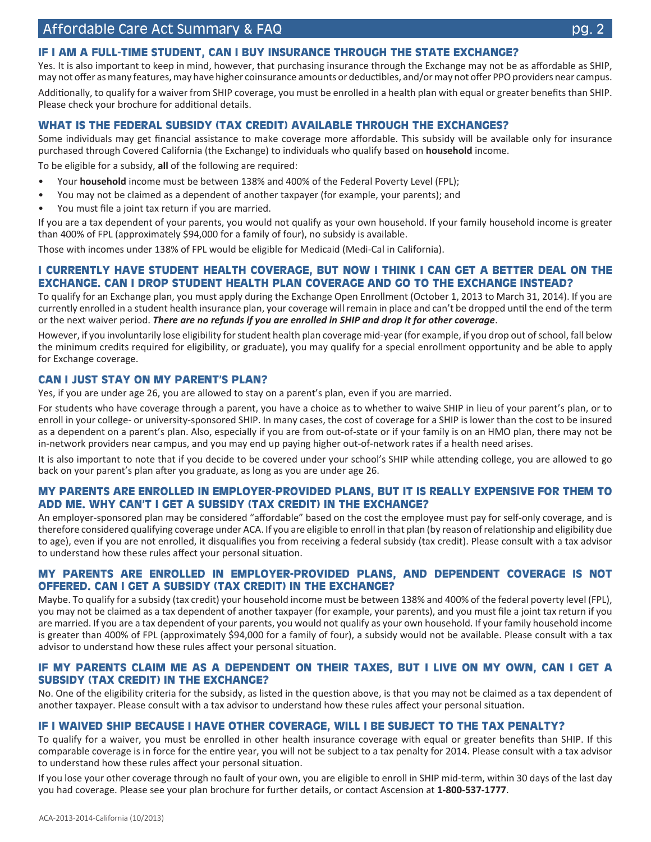## **IF I AM A FULL-TIME STUDENT, CAN I BUY INSURANCE THROUGH THE STATE EXCHANGE?**

Yes. It is also important to keep in mind, however, that purchasing insurance through the Exchange may not be as affordable as SHIP, may not offer as many features, may have higher coinsurance amounts or deductibles, and/or may not offer PPO providers near campus.

Additionally, to qualify for a waiver from SHIP coverage, you must be enrolled in a health plan with equal or greater benefits than SHIP. Please check your brochure for additional details.

#### **WHAT IS THE FEDERAL SUBSIDY (TAX CREDIT) AVAILABLE THROUGH THE EXCHANGES?**

Some individuals may get financial assistance to make coverage more affordable. This subsidy will be available only for insurance purchased through Covered California (the Exchange) to individuals who qualify based on **household** income.

To be eligible for a subsidy, **all** of the following are required:

- Your **household** income must be between 138% and 400% of the Federal Poverty Level (FPL);
- You may not be claimed as a dependent of another taxpayer (for example, your parents); and
- You must file a joint tax return if you are married.

If you are a tax dependent of your parents, you would not qualify as your own household. If your family household income is greater than 400% of FPL (approximately \$94,000 for a family of four), no subsidy is available.

Those with incomes under 138% of FPL would be eligible for Medicaid (Medi-Cal in California).

#### **I CURRENTLY HAVE STUDENT HEALTH COVERAGE, BUT NOW I THINK I CAN GET A BETTER DEAL ON THE EXCHANGE. CAN I DROP STUDENT HEALTH PLAN COVERAGE AND GO TO THE EXCHANGE INSTEAD?**

To qualify for an Exchange plan, you must apply during the Exchange Open Enrollment (October 1, 2013 to March 31, 2014). If you are currently enrolled in a student health insurance plan, your coverage will remain in place and can't be dropped until the end of the term or the next waiver period. *There are no refunds if you are enrolled in SHIP and drop it for other coverage*.

However, if you involuntarily lose eligibility for student health plan coverage mid-year (for example, if you drop out of school, fall below the minimum credits required for eligibility, or graduate), you may qualify for a special enrollment opportunity and be able to apply for Exchange coverage.

#### **CAN I JUST STAY ON MY PARENT'S PLAN?**

Yes, if you are under age 26, you are allowed to stay on a parent's plan, even if you are married.

For students who have coverage through a parent, you have a choice as to whether to waive SHIP in lieu of your parent's plan, or to enroll in your college- or university-sponsored SHIP. In many cases, the cost of coverage for a SHIP is lower than the cost to be insured as a dependent on a parent's plan. Also, especially if you are from out-of-state or if your family is on an HMO plan, there may not be in-network providers near campus, and you may end up paying higher out-of-network rates if a health need arises.

It is also important to note that if you decide to be covered under your school's SHIP while attending college, you are allowed to go back on your parent's plan after you graduate, as long as you are under age 26.

#### **MY PARENTS ARE ENROLLED IN EMPLOYER-PROVIDED PLANS, BUT IT IS REALLY EXPENSIVE FOR THEM TO ADD ME. WHY CAN'T I GET A SUBSIDY (TAX CREDIT) IN THE EXCHANGE?**

An employer-sponsored plan may be considered "affordable" based on the cost the employee must pay for self-only coverage, and is therefore considered qualifying coverage under ACA. If you are eligible to enroll in that plan (by reason of relationship and eligibility due to age), even if you are not enrolled, it disqualifies you from receiving a federal subsidy (tax credit). Please consult with a tax advisor to understand how these rules affect your personal situation.

#### **MY PARENTS ARE ENROLLED IN EMPLOYER-PROVIDED PLANS, AND DEPENDENT COVERAGE IS NOT OFFERED. CAN I GET A SUBSIDY (TAX CREDIT) IN THE EXCHANGE?**

Maybe. To qualify for a subsidy (tax credit) your household income must be between 138% and 400% of the federal poverty level (FPL), you may not be claimed as a tax dependent of another taxpayer (for example, your parents), and you must file a joint tax return if you are married. If you are a tax dependent of your parents, you would not qualify as your own household. If your family household income is greater than 400% of FPL (approximately \$94,000 for a family of four), a subsidy would not be available. Please consult with a tax advisor to understand how these rules affect your personal situation.

#### **IF MY PARENTS CLAIM ME AS A DEPENDENT ON THEIR TAXES, BUT I LIVE ON MY OWN, CAN I GET A SUBSIDY (TAX CREDIT) IN THE EXCHANGE?**

No. One of the eligibility criteria for the subsidy, as listed in the question above, is that you may not be claimed as a tax dependent of another taxpayer. Please consult with a tax advisor to understand how these rules affect your personal situation.

#### **IF I WAIVED SHIP BECAUSE I HAVE OTHER COVERAGE, WILL I BE SUBJECT TO THE TAX PENALTY?**

To qualify for a waiver, you must be enrolled in other health insurance coverage with equal or greater benefits than SHIP. If this comparable coverage is in force for the entire year, you will not be subject to a tax penalty for 2014. Please consult with a tax advisor to understand how these rules affect your personal situation.

If you lose your other coverage through no fault of your own, you are eligible to enroll in SHIP mid-term, within 30 days of the last day you had coverage. Please see your plan brochure for further details, or contact Ascension at **1-800-537-1777**.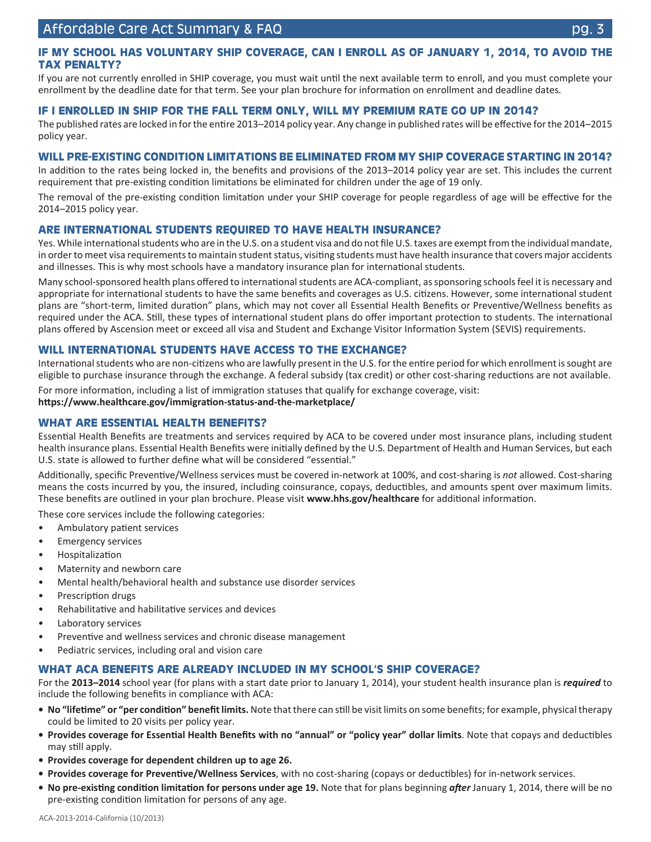#### **IF MY SCHOOL HAS VOLUNTARY SHIP COVERAGE, CAN I ENROLL AS OF JANUARY 1, 2014, TO AVOID THE TAX PENALTY?**

If you are not currently enrolled in SHIP coverage, you must wait until the next available term to enroll, and you must complete your enrollment by the deadline date for that term. See your plan brochure for information on enrollment and deadline dates*.*

#### **IF I ENROLLED IN SHIP FOR THE FALL TERM ONLY, WILL MY PREMIUM RATE GO UP IN 2014?**

The published rates are locked in for the entire 2013–2014 policy year. Any change in published rates will be effective for the 2014–2015 policy year.

#### **WILL PRE-EXISTING CONDITION LIMITATIONS BE ELIMINATED FROM MY SHIP COVERAGE STARTING IN 2014?**

In addition to the rates being locked in, the benefits and provisions of the 2013–2014 policy year are set. This includes the current requirement that pre-existing condition limitations be eliminated for children under the age of 19 only.

The removal of the pre-existing condition limitation under your SHIP coverage for people regardless of age will be effective for the 2014–2015 policy year.

#### **ARE INTERNATIONAL STUDENTS REQUIRED TO HAVE HEALTH INSURANCE?**

Yes. While international students who are in the U.S. on a student visa and do not file U.S. taxes are exempt from the individual mandate, in order to meet visa requirements to maintain student status, visiting students must have health insurance that covers major accidents and illnesses. This is why most schools have a mandatory insurance plan for international students.

Many school-sponsored health plans offered to international students are ACA-compliant, as sponsoring schools feel it is necessary and appropriate for international students to have the same benefits and coverages as U.S. citizens. However, some international student plans are "short-term, limited duration" plans, which may not cover all Essential Health Benefits or Preventive/Wellness benefits as required under the ACA. Still, these types of international student plans do offer important protection to students. The international plans offered by Ascension meet or exceed all visa and Student and Exchange Visitor Information System (SEVIS) requirements.

#### **WILL INTERNATIONAL STUDENTS HAVE ACCESS TO THE EXCHANGE?**

International students who are non-citizens who are lawfully present in the U.S. for the entire period for which enrollment is sought are eligible to purchase insurance through the exchange. A federal subsidy (tax credit) or other cost-sharing reductions are not available.

For more information, including a list of immigration statuses that qualify for exchange coverage, visit: **https://www.healthcare.gov/immigration-status-and-the-marketplace/**

#### **WHAT ARE ESSENTIAL HEALTH BENEFITS?**

Essential Health Benefits are treatments and services required by ACA to be covered under most insurance plans, including student health insurance plans. Essential Health Benefits were initially defined by the U.S. Department of Health and Human Services, but each U.S. state is allowed to further define what will be considered "essential."

Additionally, specific Preventive/Wellness services must be covered in-network at 100%, and cost-sharing is *not* allowed. Cost-sharing means the costs incurred by you, the insured, including coinsurance, copays, deductibles, and amounts spent over maximum limits. These benefits are outlined in your plan brochure. Please visit **www.hhs.gov/healthcare** for additional information.

These core services include the following categories:

- Ambulatory patient services
- Emergency services
- **Hospitalization**
- Maternity and newborn care
- Mental health/behavioral health and substance use disorder services
- Prescription drugs
- Rehabilitative and habilitative services and devices
- Laboratory services
- Preventive and wellness services and chronic disease management
- Pediatric services, including oral and vision care

#### **WHAT ACA BENEFITS ARE ALREADY INCLUDED IN MY SCHOOL'S SHIP COVERAGE?**

For the **2013–2014** school year (for plans with a start date prior to January 1, 2014), your student health insurance plan is *required* to include the following benefits in compliance with ACA:

- **• No "lifetime" or "per condition" benefit limits.** Note that there can still be visit limits on some benefits; for example, physical therapy could be limited to 20 visits per policy year.
- **• Provides coverage for Essential Health Benefits with no "annual" or "policy year" dollar limits**. Note that copays and deductibles may still apply.
- **• Provides coverage for dependent children up to age 26.**
- **• Provides coverage for Preventive/Wellness Services**, with no cost-sharing (copays or deductibles) for in-network services.
- **• No pre-existing condition limitation for persons under age 19.** Note that for plans beginning *after* January 1, 2014, there will be no pre-existing condition limitation for persons of any age.